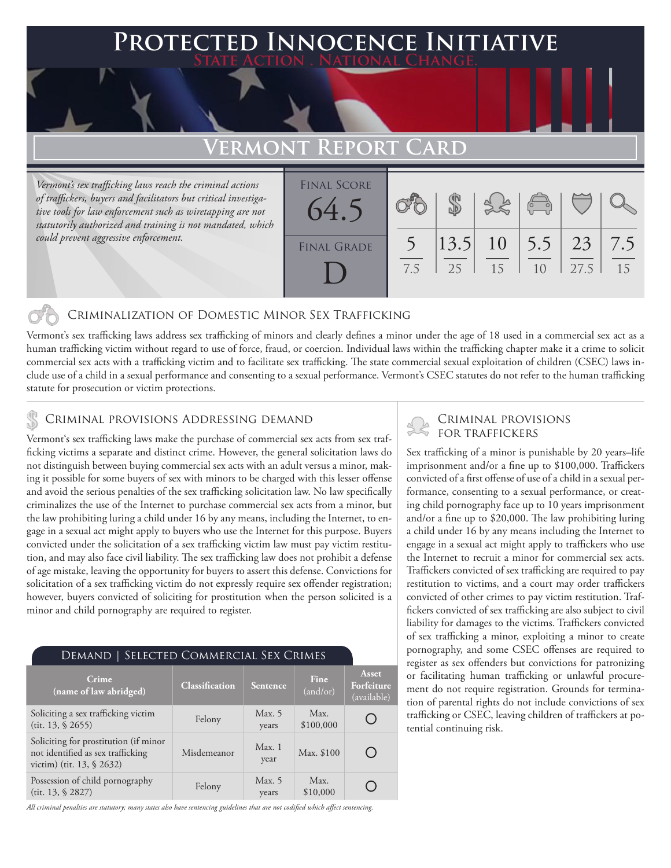## **Protected Innocence Initiative State Action . National Change.**

## **Vermont Report Card**

*Vermont's sex trafficking laws reach the criminal actions of traffickers, buyers and facilitators but critical investigative tools for law enforcement such as wiretapping are not statutorily authorized and training is not mandated, which could prevent aggressive enforcement.*

| <b>FINAL SCORE</b><br>64.5 |     |             |                       | $\begin{pmatrix} 0 & 0 \\ 0 & 0 \end{pmatrix}$ |            |           |
|----------------------------|-----|-------------|-----------------------|------------------------------------------------|------------|-----------|
| FINAL GRADE                | 7.5 | 13.5 <br>25 | 10 <sup>7</sup><br>15 | 5.5                                            | 23<br>27.5 | 7.5<br>15 |

## Criminalization of Domestic Minor Sex Trafficking

Vermont's sex trafficking laws address sex trafficking of minors and clearly defines a minor under the age of 18 used in a commercial sex act as a human trafficking victim without regard to use of force, fraud, or coercion. Individual laws within the trafficking chapter make it a crime to solicit commercial sex acts with a trafficking victim and to facilitate sex trafficking. The state commercial sexual exploitation of children (CSEC) laws include use of a child in a sexual performance and consenting to a sexual performance. Vermont's CSEC statutes do not refer to the human trafficking statute for prosecution or victim protections.

# CRIMINAL PROVISIONS ADDRESSING DEMAND<br>Vermontie een trafficking laure melte the purchase of commercial sex sets from sex traffickers FOR TRAFFICKERS

Vermont's sex trafficking laws make the purchase of commercial sex acts from sex trafficking victims a separate and distinct crime. However, the general solicitation laws do not distinguish between buying commercial sex acts with an adult versus a minor, making it possible for some buyers of sex with minors to be charged with this lesser offense and avoid the serious penalties of the sex trafficking solicitation law. No law specifically criminalizes the use of the Internet to purchase commercial sex acts from a minor, but the law prohibiting luring a child under 16 by any means, including the Internet, to engage in a sexual act might apply to buyers who use the Internet for this purpose. Buyers convicted under the solicitation of a sex trafficking victim law must pay victim restitution, and may also face civil liability. The sex trafficking law does not prohibit a defense of age mistake, leaving the opportunity for buyers to assert this defense. Convictions for solicitation of a sex trafficking victim do not expressly require sex offender registration; however, buyers convicted of soliciting for prostitution when the person solicited is a minor and child pornography are required to register.

### Demand | Selected Commercial Sex Crimes **Asset Crime**<br> **Classification** Sentence  $\begin{bmatrix} \text{Fine} \\ \text{cand/c} \end{bmatrix}$ **Crime Forfeiture**  (and/or) (available) Soliciting a sex trafficking victim<br>
(tit. 13, § 2655) Felony Max. 5<br>
years Max. O \$100,000 years Soliciting for prostitution (if minor Misdemeanor Max. 1 not identified as sex trafficking Max. \$100 O year victim) (tit. 13, § 2632) Max. Possession of child pornography<br>
(tit. 13, § 2827) Felony Max. 5<br>
years ∩ years \$10,000

*All criminal penalties are statutory; many states also have sentencing guidelines that are not codified which affect sentencing.* 

Sex trafficking of a minor is punishable by 20 years–life imprisonment and/or a fine up to \$100,000. Traffickers convicted of a first offense of use of a child in a sexual performance, consenting to a sexual performance, or creating child pornography face up to 10 years imprisonment and/or a fine up to \$20,000. The law prohibiting luring a child under 16 by any means including the Internet to engage in a sexual act might apply to traffickers who use the Internet to recruit a minor for commercial sex acts. Traffickers convicted of sex trafficking are required to pay restitution to victims, and a court may order traffickers convicted of other crimes to pay victim restitution. Traffickers convicted of sex trafficking are also subject to civil liability for damages to the victims. Traffickers convicted of sex trafficking a minor, exploiting a minor to create pornography, and some CSEC offenses are required to register as sex offenders but convictions for patronizing or facilitating human trafficking or unlawful procurement do not require registration. Grounds for termination of parental rights do not include convictions of sex trafficking or CSEC, leaving children of traffickers at potential continuing risk.